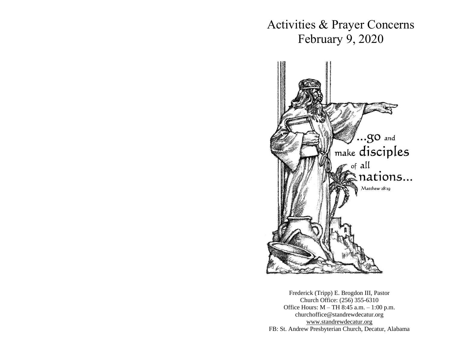Activities & Prayer Concerns February 9, 2020



Frederick (Tripp) E. Brogdon III, Pastor Church Office: (256) 355-6310 Office Hours: M – TH 8:45 a.m. – 1:00 p.m. churchoffice@standrewdecatur.org [www.standrewdecatur.](http://www.standrewdecatur/)org FB: St. Andrew Presbyterian Church, Decatur, Alabama